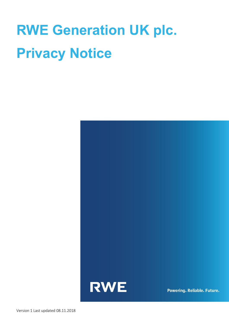# **RWE Generation UK plc. Privacy Notice**



**Powering. Reliable. Future.**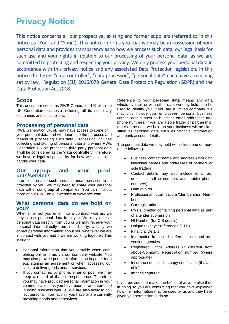# **Privacy Notice**

This notice concerns all our prospective, existing and former suppliers (referred to in this notice as "You" and "Your"). This notice informs you that we may be in possession of your personal data and provides transparency as to how we process such data, our legal basis for such use and your rights in relation to our processing of your personal data, as we are committed to protecting and respecting your privacy. We only process your personal data in accordance with this privacy notice and any associated Data Protection legislation. In this notice the terms "data controller", "data processor", "personal data" each have a meaning set by law, Regulation (EU) 2016/679 General Data Protection Regulation (GDPR) and the Data Protection Act 2018.

# **Scope**

This document concerns RWE Generation UK plc. (the UK Generation business) including all its subsidiary companies and its suppliers.

# **Processing of personal data**

RWE Generation UK plc may have access to some of your personal data and will determine the purposes and means of processing such data. Processing includes collecting and storing of personal data and where RWE Generation UK plc processes third party personal data it will be considered as the '**data controller**.' Therefore, we have a legal responsibility for how we collect and handle your data.

#### **Our group and your products/services**

In order to enable such products and/or services to be provided by you, we may need to share your personal data within our group of companies. You can find out more about RWE on our website at www.rwe.com.

#### **What personal data do we hold on you?**

Whether or not you enter into a contract with us, we may collect personal data from you. We may receive personal data directly from you or we may receive your personal data indirectly from a third party. Usually, we collect personal information about you whenever we are in contact with you and if we are working together. This includes:

- Personal information that you provide when completing online forms via our company website. You may also provide personal information in paper form e.g. signing an agreement or when accessing our sites to deliver goods and/or services.
- If you contact us by phone, email or post, we may keep a record of that correspondence. Therefore, you may have provided personal information in your communications as you have been or are interested in doing business with us. We are also likely to collect personal information if you have or are currently providing goods and/or services.

Reference to your **personal data** means any data which, by itself or with other data we may hold, can be used to identify you. If you are a limited company this may only include your employees' personal business contact details such as business email addresses and phone numbers. If you are a sole trader or partnership, more of the data we hold on your business will be classified as personal data such as financial information and bank account details.

The personal data we may hold will include one or more of the following:

- Business contact name and address (including individual names and addresses of partners or sole traders)
- Contact details may also include email addresses, landline numbers and mobile phone numbers)
- Date of birth
- Professional qualifications/Membership Numbers
- Car registration
- CVs submitted containing personal data as part of a tender submission
- NI Number (for CIS details)
- Unique taxpayer references (UTR)
- Financial Details
- Information from credit reference or fraud prevention agencies
- Registered Office Address (if different from above)Company Registration number (where appropriate)
- Insurance details plus copy certificates (if available)
- Images captured

If you provide information on behalf of anyone else then in doing so you are confirming that you have explained how their information may be used by us and they have given you permission to do so.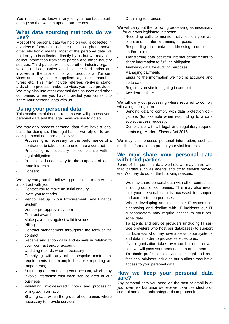You must let us know if any of your contact details change so that we can update our records.

# **What data sourcing methods do we use?**

Most of the personal data we hold on you is collected in a variety of formats including e-mail, post, phone and/or other electronic means. Most of the personal data we hold on you is collected directly by us but we may also collect information from third parties and other industry sources. Third parties will include other industry organisations and companies who have received and/or are involved in the provision of your products and/or services and may include suppliers, agencies, manufacturers etc. This may include referees verifying standards of the products and/or services you have provided. We may also use other external data sources and other companies where you have provided your consent to share your personal data with us.

# **Using your personal data**

This section explains the reasons we will process your personal data and the legal basis we use to do so.

We may only process personal data if we have a legal basis for doing so. The legal bases we rely on to process personal data are as follows:

- Processing is necessary for the performance of a contract or to take steps to enter into a contract
- Processing is necessary for compliance with a legal obligation
- Processing is necessary for the purposes of legitimate interests
- **Consent**

We may carry out the following processing to enter into a contract with you:

- Contact you to make an initial enquiry
- Invite you to tender
- Vendor set up in our Procurement and Finance System
- Vendor pre-approval system
- Contract award
- Make payments against valid invoices
- **Billing**
- Contract management throughout the term of the contract
- Receive and action calls and e-mails in relation to your contract and/or account
- Updating records where necessary
- Complying with any other bespoke contractual requirements (for example bespoke reporting arrangements)
- Setting up and managing your account, which may involve interaction with each service area of our business
- Validating invoices/credit notes and processing billing/tax information
- Sharing data within the group of companies where necessary to provide services
- Obtaining references
- We will carry out the following processing as necessary for our own legitimate interests:
- Recording calls to monitor activities on your account and for internal training purposes
- Responding to and/or addressing complaints and/or claims
- Transferring data between internal departments to share information to fulfil an obligation
- Analysing data for auditing purposes
- Managing payments
- Ensuring the information we hold is accurate and up to date
- Registers on site for signing in and out
- Accident register

- We will carry out processing where required to comply with a legal obligation:

- Sending data to comply with data protection obligations (for example when responding to a data subject access request).
- Compliance with all legal and regulatory requirements e.g. Modern Slavery Act 2015.

We may also process personal information, such as medical information to protect your vital interests

#### **We may share your personal data with third parties**

Some of the personal data we hold we may share with third parties such as agents and other service providers. We may do so for the following reasons:

- We may share personal data with other companies in our group of companies. This may also mean that your personal data is accessed for support and administration purposes.
- Where developing and testing our IT systems or diagnosing and dealing with IT incidents our IT subcontractors may require access to your personal data.
- To agents and service providers (including IT service providers who host our databases) to support our business who may have access to our systems and data in order to provide services to us.
- If an organisation takes over our business or assets we will pass your personal data on to them.
- To obtain professional advice, our legal and professional advisers including our auditors may have access to your personal data.

#### **How we keep your personal data safe?**

Any personal data you send via the post or email is at your own risk but once we receive it we use strict procedural and electronic safeguards to protect it.